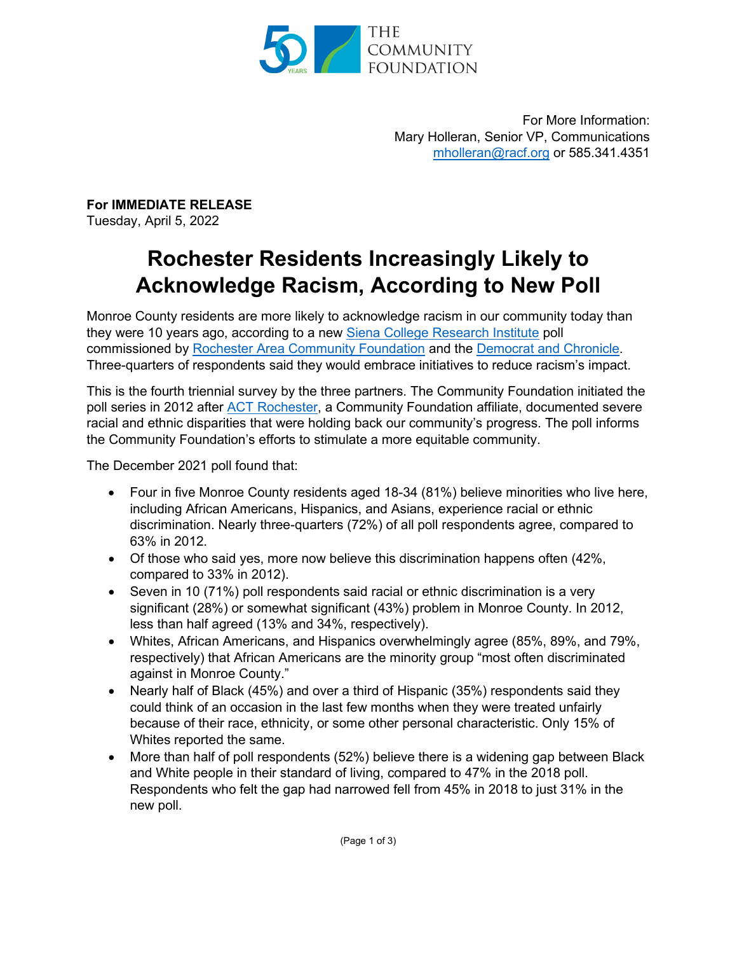

For More Information: Mary Holleran, Senior VP, Communications [mholleran@racf.org](mailto:mholleran@racf.org) or 585.341.4351

**For IMMEDIATE RELEASE** Tuesday, April 5, 2022

## **Rochester Residents Increasingly Likely to Acknowledge Racism, According to New Poll**

Monroe County residents are more likely to acknowledge racism in our community today than they were 10 years ago, according to a new [Siena College Research Institute](https://scri.siena.edu/) poll commissioned by [Rochester Area Community Foundation](https://www.racf.org/) and the [Democrat and Chronicle.](https://www.democratandchronicle.com/story/news/2022/04/05/siena-college-research-institute-poll-monroe-county-race-relations/7053498001/) Three-quarters of respondents said they would embrace initiatives to reduce racism's impact.

This is the fourth triennial survey by the three partners. The Community Foundation initiated the poll series in 2012 after [ACT Rochester,](https://www.actrochester.org/) a Community Foundation affiliate, documented severe racial and ethnic disparities that were holding back our community's progress. The poll informs the Community Foundation's efforts to stimulate a more equitable community.

The December 2021 poll found that:

- Four in five Monroe County residents aged 18-34 (81%) believe minorities who live here, including African Americans, Hispanics, and Asians, experience racial or ethnic discrimination. Nearly three-quarters (72%) of all poll respondents agree, compared to 63% in 2012.
- Of those who said yes, more now believe this discrimination happens often (42%, compared to 33% in 2012).
- Seven in 10 (71%) poll respondents said racial or ethnic discrimination is a very significant (28%) or somewhat significant (43%) problem in Monroe County. In 2012, less than half agreed (13% and 34%, respectively).
- Whites, African Americans, and Hispanics overwhelmingly agree (85%, 89%, and 79%, respectively) that African Americans are the minority group "most often discriminated against in Monroe County."
- Nearly half of Black (45%) and over a third of Hispanic (35%) respondents said they could think of an occasion in the last few months when they were treated unfairly because of their race, ethnicity, or some other personal characteristic. Only 15% of Whites reported the same.
- More than half of poll respondents (52%) believe there is a widening gap between Black and White people in their standard of living, compared to 47% in the 2018 poll. Respondents who felt the gap had narrowed fell from 45% in 2018 to just 31% in the new poll.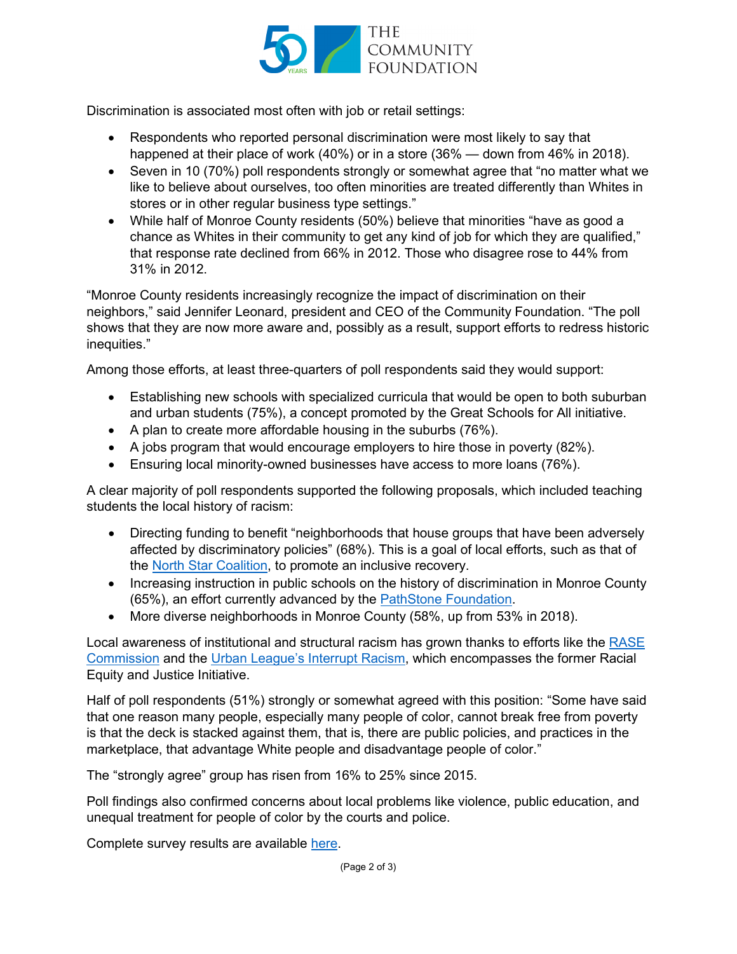

Discrimination is associated most often with job or retail settings:

- Respondents who reported personal discrimination were most likely to say that happened at their place of work (40%) or in a store (36% — down from 46% in 2018).
- Seven in 10 (70%) poll respondents strongly or somewhat agree that "no matter what we like to believe about ourselves, too often minorities are treated differently than Whites in stores or in other regular business type settings."
- While half of Monroe County residents (50%) believe that minorities "have as good a chance as Whites in their community to get any kind of job for which they are qualified," that response rate declined from 66% in 2012. Those who disagree rose to 44% from 31% in 2012.

"Monroe County residents increasingly recognize the impact of discrimination on their neighbors," said Jennifer Leonard, president and CEO of the Community Foundation. "The poll shows that they are now more aware and, possibly as a result, support efforts to redress historic inequities."

Among those efforts, at least three-quarters of poll respondents said they would support:

- Establishing new schools with specialized curricula that would be open to both suburban and urban students (75%), a concept promoted by the Great Schools for All initiative.
- A plan to create more affordable housing in the suburbs (76%).
- A jobs program that would encourage employers to hire those in poverty (82%).
- Ensuring local minority-owned businesses have access to more loans (76%).

A clear majority of poll respondents supported the following proposals, which included teaching students the local history of racism:

- Directing funding to benefit "neighborhoods that house groups that have been adversely affected by discriminatory policies" (68%). This is a goal of local efforts, such as that of the [North Star Coalition,](https://www.northstarroc.com/) to promote an inclusive recovery.
- Increasing instruction in public schools on the history of discrimination in Monroe County (65%), an effort currently advanced by the [PathStone Foundation.](https://pathstone.foundation/)
- More diverse neighborhoods in Monroe County (58%, up from 53% in 2018).

Local awareness of institutional and structural racism has grown thanks to efforts like the [RASE](https://rocrase.com/)  [Commission](https://rocrase.com/) and the [Urban League's Interrupt Racism,](https://www.urbanleagueroc.org/interruptracism) which encompasses the former Racial Equity and Justice Initiative.

Half of poll respondents (51%) strongly or somewhat agreed with this position: "Some have said that one reason many people, especially many people of color, cannot break free from poverty is that the deck is stacked against them, that is, there are public policies, and practices in the marketplace, that advantage White people and disadvantage people of color."

The "strongly agree" group has risen from 16% to 25% since 2015.

Poll findings also confirmed concerns about local problems like violence, public education, and unequal treatment for people of color by the courts and police.

Complete survey results are available [here.](https://www.racf.org/wp-content/uploads/2022/04/Siena-Poll-Crosstab-Data-Linked-in-April-5-2022-Press-Release.pdf)